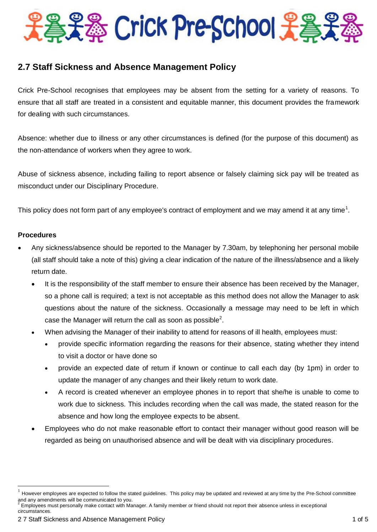# Pat & Crick Pre-School 光為

# **2.7 Staff Sickness and Absence Management Policy**

Crick Pre-School recognises that employees may be absent from the setting for a variety of reasons. To ensure that all staff are treated in a consistent and equitable manner, this document provides the framework for dealing with such circumstances.

Absence: whether due to illness or any other circumstances is defined (for the purpose of this document) as the non-attendance of workers when they agree to work.

Abuse of sickness absence, including failing to report absence or falsely claiming sick pay will be treated as misconduct under our Disciplinary Procedure.

This policy does not form part of any employee's contract of employment and we may amend it at any time<sup>1</sup>.

# **Procedures**

 $\overline{a}$ 

- Any sickness/absence should be reported to the Manager by 7.30am, by telephoning her personal mobile (all staff should take a note of this) giving a clear indication of the nature of the illness/absence and a likely return date.
	- It is the responsibility of the staff member to ensure their absence has been received by the Manager, so a phone call is required; a text is not acceptable as this method does not allow the Manager to ask questions about the nature of the sickness. Occasionally a message may need to be left in which case the Manager will return the call as soon as possible<sup>2</sup>.
	- When advising the Manager of their inability to attend for reasons of ill health, employees must:
		- provide specific information regarding the reasons for their absence, stating whether they intend to visit a doctor or have done so
		- provide an expected date of return if known or continue to call each day (by 1pm) in order to update the manager of any changes and their likely return to work date.
		- A record is created whenever an employee phones in to report that she/he is unable to come to work due to sickness. This includes recording when the call was made, the stated reason for the absence and how long the employee expects to be absent.
	- Employees who do not make reasonable effort to contact their manager without good reason will be regarded as being on unauthorised absence and will be dealt with via disciplinary procedures.

<sup>1</sup> However employees are expected to follow the stated guidelines. This policy may be updated and reviewed at any time by the Pre-School committee and any amendments will be communicated to you.<br><sup>2</sup> Employees must personally make contact with Ma

Employees must personally make contact with Manager. A family member or friend should not report their absence unless in exceptional circumstances.

<sup>2 7</sup> Staff Sickness and Absence Management Policy 1 of 5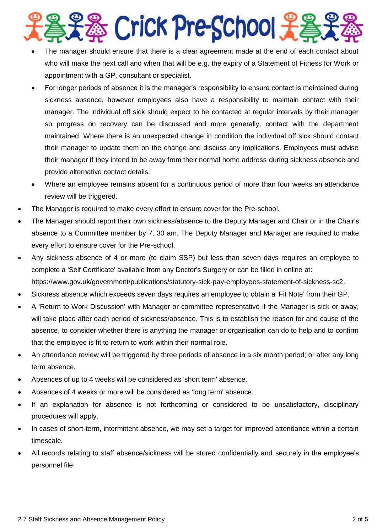

- The manager should ensure that there is a clear agreement made at the end of each contact about who will make the next call and when that will be e.g. the expiry of a Statement of Fitness for Work or appointment with a GP, consultant or specialist.
- For longer periods of absence it is the manager's responsibility to ensure contact is maintained during sickness absence, however employees also have a responsibility to maintain contact with their manager. The individual off sick should expect to be contacted at regular intervals by their manager so progress on recovery can be discussed and more generally, contact with the department maintained. Where there is an unexpected change in condition the individual off sick should contact their manager to update them on the change and discuss any implications. Employees must advise their manager if they intend to be away from their normal home address during sickness absence and provide alternative contact details.
- Where an employee remains absent for a continuous period of more than four weeks an attendance review will be triggered.
- The Manager is required to make every effort to ensure cover for the Pre-school.
- The Manager should report their own sickness/absence to the Deputy Manager and Chair or in the Chair's absence to a Committee member by 7. 30 am. The Deputy Manager and Manager are required to make every effort to ensure cover for the Pre-school.
- Any sickness absence of 4 or more (to claim SSP) but less than seven days requires an employee to complete a 'Self Certificate' available from any Doctor's Surgery or can be filled in online at: https://www.gov.uk/government/publications/statutory-sick-pay-employees-statement-of-sickness-sc2.
- Sickness absence which exceeds seven days requires an employee to obtain a 'Fit Note' from their GP.
- A 'Return to Work Discussion' with Manager or committee representative if the Manager is sick or away, will take place after each period of sickness/absence. This is to establish the reason for and cause of the absence, to consider whether there is anything the manager or organisation can do to help and to confirm that the employee is fit to return to work within their normal role.
- An attendance review will be triggered by three periods of absence in a six month period; or after any long term absence.
- Absences of up to 4 weeks will be considered as 'short term' absence.
- Absences of 4 weeks or more will be considered as 'long term' absence.
- If an explanation for absence is not forthcoming or considered to be unsatisfactory, disciplinary procedures will apply.
- In cases of short-term, intermittent absence, we may set a target for improved attendance within a certain timescale.
- All records relating to staff absence/sickness will be stored confidentially and securely in the employee's personnel file.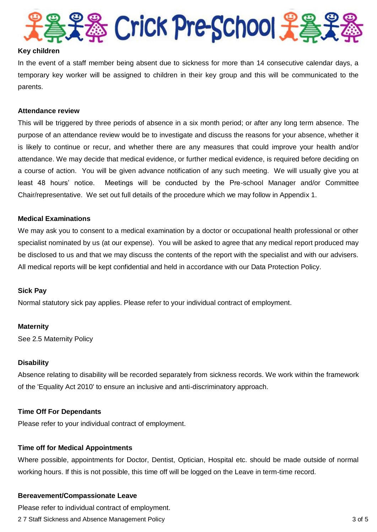

#### **Key children**

In the event of a staff member being absent due to sickness for more than 14 consecutive calendar days, a temporary key worker will be assigned to children in their key group and this will be communicated to the parents.

#### **Attendance review**

This will be triggered by three periods of absence in a six month period; or after any long term absence. The purpose of an attendance review would be to investigate and discuss the reasons for your absence, whether it is likely to continue or recur, and whether there are any measures that could improve your health and/or attendance. We may decide that medical evidence, or further medical evidence, is required before deciding on a course of action. You will be given advance notification of any such meeting. We will usually give you at least 48 hours' notice. Meetings will be conducted by the Pre-school Manager and/or Committee Chair/representative. We set out full details of the procedure which we may follow in Appendix 1.

# **Medical Examinations**

We may ask you to consent to a medical examination by a doctor or occupational health professional or other specialist nominated by us (at our expense). You will be asked to agree that any medical report produced may be disclosed to us and that we may discuss the contents of the report with the specialist and with our advisers. All medical reports will be kept confidential and held in accordance with our Data Protection Policy.

#### **Sick Pay**

Normal statutory sick pay applies. Please refer to your individual contract of employment.

#### **Maternity**

See 2.5 Maternity Policy

#### **Disability**

Absence relating to disability will be recorded separately from sickness records. We work within the framework of the 'Equality Act 2010' to ensure an inclusive and anti-discriminatory approach.

#### **Time Off For Dependants**

Please refer to your individual contract of employment.

#### **Time off for Medical Appointments**

Where possible, appointments for Doctor, Dentist, Optician, Hospital etc. should be made outside of normal working hours. If this is not possible, this time off will be logged on the Leave in term-time record.

#### **Bereavement/Compassionate Leave**

Please refer to individual contract of employment.

2 7 Staff Sickness and Absence Management Policy 3 of 5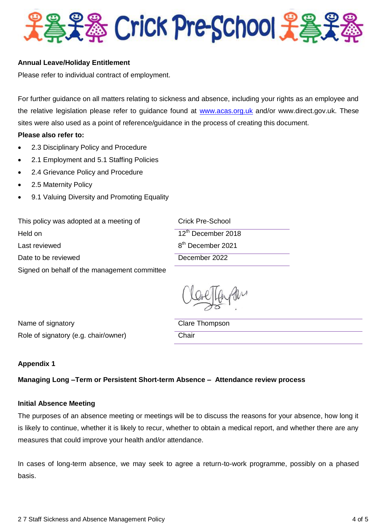

# **Annual Leave/Holiday Entitlement**

Please refer to individual contract of employment.

For further guidance on all matters relating to sickness and absence, including your rights as an employee and the relative legislation please refer to guidance found at [www.acas.org.uk](http://www.acas.org.uk/) and/or www.direct.gov.uk. These sites were also used as a point of reference/guidance in the process of creating this document.

# **Please also refer to:**

- 2.3 Disciplinary Policy and Procedure
- 2.1 Employment and 5.1 Staffing Policies
- 2.4 Grievance Policy and Procedure
- 2.5 Maternity Policy
- 9.1 Valuing Diversity and Promoting Equality

This policy was adopted at a meeting of Crick Pre-School Held on Last reviewed 12<sup>th</sup> December 2018 8 th December 2021 Date to be reviewed December 2022 Signed on behalf of the management committee

Name of signatory and a control of Signatory Clare Thompson Role of signatory (e.g. chair/owner) Chair

#### **Appendix 1**

#### **Managing Long –Term or Persistent Short-term Absence – Attendance review process**

#### **Initial Absence Meeting**

The purposes of an absence meeting or meetings will be to discuss the reasons for your absence, how long it is likely to continue, whether it is likely to recur, whether to obtain a medical report, and whether there are any measures that could improve your health and/or attendance.

In cases of long-term absence, we may seek to agree a return-to-work programme, possibly on a phased basis.